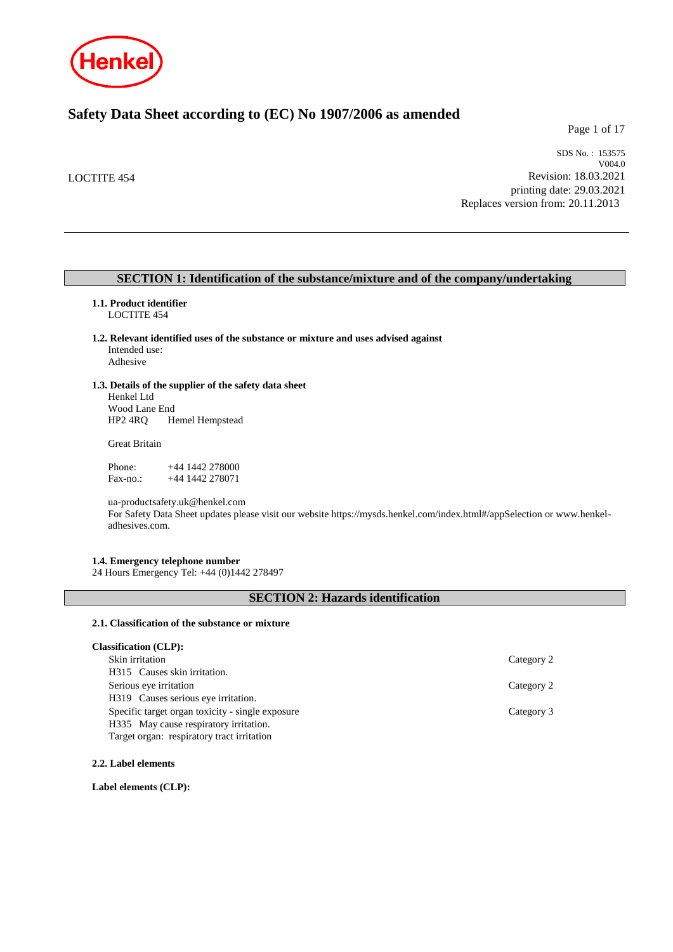

# **Safety Data Sheet according to (EC) No 1907/2006 as amended**

Page 1 of 17

LOCTITE 454

SDS No. : 153575 V004.0 Revision: 18.03.2021 printing date: 29.03.2021 Replaces version from: 20.11.2013

### **SECTION 1: Identification of the substance/mixture and of the company/undertaking**

## **1.1. Product identifier**

LOCTITE 454

- **1.2. Relevant identified uses of the substance or mixture and uses advised against** Intended use:
	- Adhesive

### **1.3. Details of the supplier of the safety data sheet**

Henkel Ltd Wood Lane End<br>HP2 4RQ H Hemel Hempstead

Great Britain

| Phone:    | $+44$ 1442 278000 |
|-----------|-------------------|
| $Fax-no.$ | +44 1442 278071   |

ua-productsafety.uk@henkel.com For Safety Data Sheet updates please visit our website https://mysds.henkel.com/index.html#/appSelection or www.henkeladhesives.com.

### **1.4. Emergency telephone number**

24 Hours Emergency Tel: +44 (0)1442 278497

## **SECTION 2: Hazards identification**

### **2.1. Classification of the substance or mixture**

| <b>Classification (CLP):</b>                     |            |
|--------------------------------------------------|------------|
| Skin irritation                                  | Category 2 |
| H315 Causes skin irritation.                     |            |
| Serious eye irritation                           | Category 2 |
| H319 Causes serious eye irritation.              |            |
| Specific target organ toxicity - single exposure | Category 3 |
| H335 May cause respiratory irritation.           |            |
| Target organ: respiratory tract irritation       |            |

**2.2. Label elements**

**Label elements (CLP):**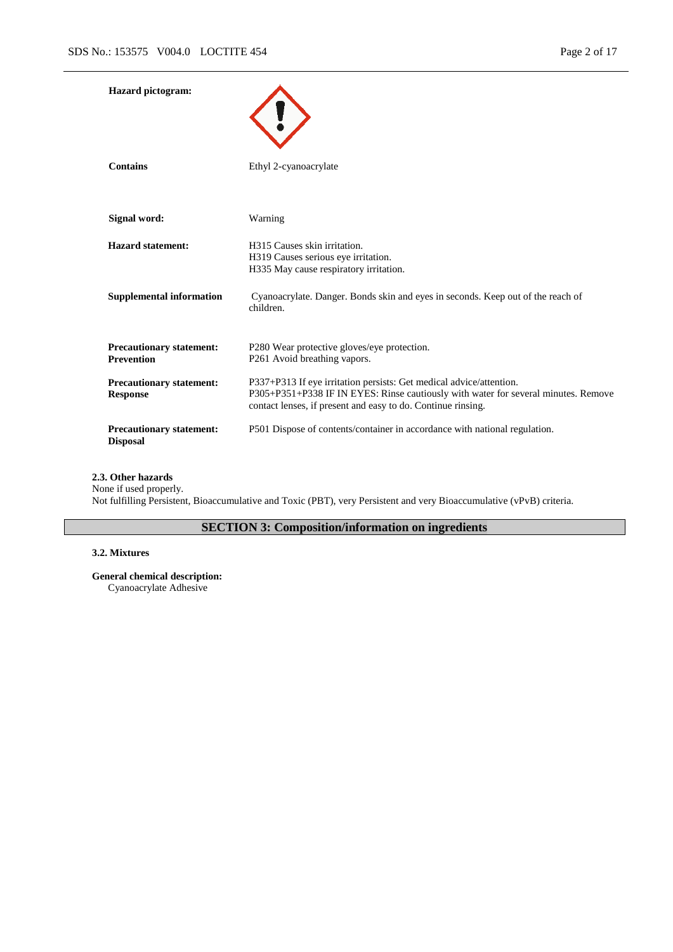| <b>Hazard</b> pictogram:                             |                                                                                                                                                                                                                           |
|------------------------------------------------------|---------------------------------------------------------------------------------------------------------------------------------------------------------------------------------------------------------------------------|
| <b>Contains</b>                                      | Ethyl 2-cyanoacrylate                                                                                                                                                                                                     |
| Signal word:                                         | Warning                                                                                                                                                                                                                   |
| <b>Hazard statement:</b>                             | H315 Causes skin irritation.<br>H319 Causes serious eye irritation.<br>H335 May cause respiratory irritation.                                                                                                             |
| <b>Supplemental information</b>                      | Cyanoacrylate. Danger. Bonds skin and eyes in seconds. Keep out of the reach of<br>children.                                                                                                                              |
| <b>Precautionary statement:</b><br><b>Prevention</b> | P280 Wear protective gloves/eye protection.<br>P261 Avoid breathing vapors.                                                                                                                                               |
| <b>Precautionary statement:</b><br><b>Response</b>   | P337+P313 If eye irritation persists: Get medical advice/attention.<br>P305+P351+P338 IF IN EYES: Rinse cautiously with water for several minutes. Remove<br>contact lenses, if present and easy to do. Continue rinsing. |
| <b>Precautionary statement:</b><br><b>Disposal</b>   | P501 Dispose of contents/container in accordance with national regulation.                                                                                                                                                |

## **2.3. Other hazards**

None if used properly.

Not fulfilling Persistent, Bioaccumulative and Toxic (PBT), very Persistent and very Bioaccumulative (vPvB) criteria.

# **SECTION 3: Composition/information on ingredients**

## **3.2. Mixtures**

**General chemical description:**

Cyanoacrylate Adhesive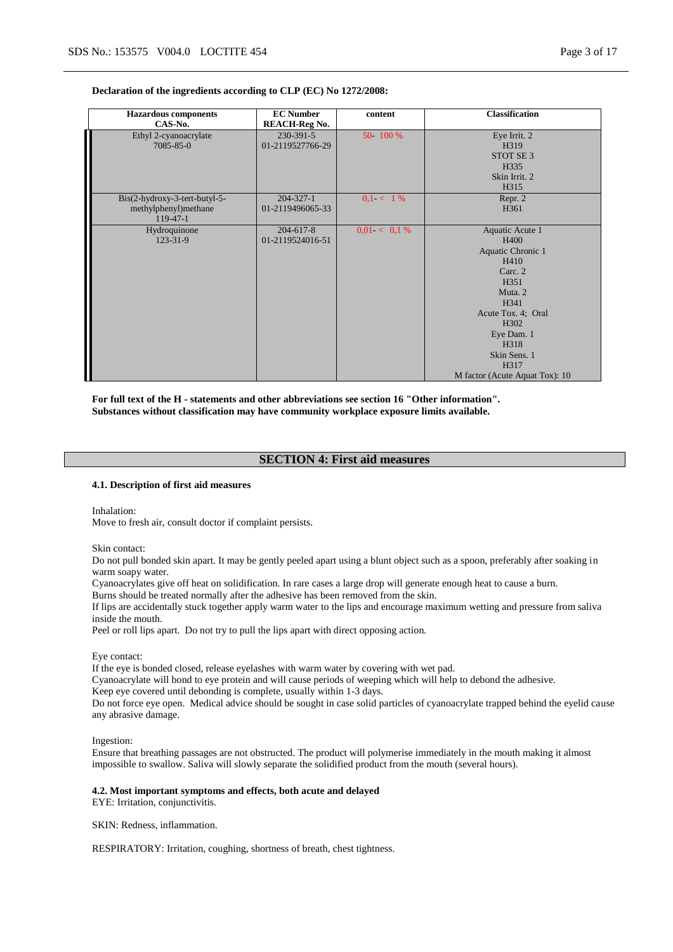#### **Declaration of the ingredients according to CLP (EC) No 1272/2008:**

| <b>Hazardous components</b><br>CAS-No.                              | <b>EC Number</b><br><b>REACH-Reg No.</b> | content         | <b>Classification</b>                                                                                                                                                                                              |
|---------------------------------------------------------------------|------------------------------------------|-----------------|--------------------------------------------------------------------------------------------------------------------------------------------------------------------------------------------------------------------|
| Ethyl 2-cyanoacrylate<br>7085-85-0                                  | 230-391-5<br>01-2119527766-29            | 50 100 %        | Eye Irrit. 2<br>H319<br>STOT SE <sub>3</sub><br>H335<br>Skin Irrit. 2<br>H315                                                                                                                                      |
| Bis(2-hydroxy-3-tert-butyl-5-<br>methylphenyl)methane<br>$119-47-1$ | $204 - 327 - 1$<br>01-2119496065-33      | $0.1 < 1\%$     | Repr. 2<br>H <sub>361</sub>                                                                                                                                                                                        |
| Hydroquinone<br>123-31-9                                            | 204-617-8<br>01-2119524016-51            | $0.01 < 0.1 \%$ | Aquatic Acute 1<br>H400<br>Aquatic Chronic 1<br>H410<br>Carc. 2<br>H351<br>Muta <sub>2</sub><br>H341<br>Acute Tox. 4; Oral<br>H302<br>Eye Dam. 1<br>H318<br>Skin Sens. 1<br>H317<br>M factor (Acute Aquat Tox): 10 |

**For full text of the H - statements and other abbreviations see section 16 "Other information". Substances without classification may have community workplace exposure limits available.**

### **SECTION 4: First aid measures**

#### **4.1. Description of first aid measures**

Inhalation:

Move to fresh air, consult doctor if complaint persists.

Skin contact:

Do not pull bonded skin apart. It may be gently peeled apart using a blunt object such as a spoon, preferably after soaking in warm soapy water.

Cyanoacrylates give off heat on solidification. In rare cases a large drop will generate enough heat to cause a burn.

Burns should be treated normally after the adhesive has been removed from the skin.

If lips are accidentally stuck together apply warm water to the lips and encourage maximum wetting and pressure from saliva inside the mouth.

Peel or roll lips apart. Do not try to pull the lips apart with direct opposing action.

Eye contact:

If the eye is bonded closed, release eyelashes with warm water by covering with wet pad.

Cyanoacrylate will bond to eye protein and will cause periods of weeping which will help to debond the adhesive.

Keep eye covered until debonding is complete, usually within 1-3 days.

Do not force eye open. Medical advice should be sought in case solid particles of cyanoacrylate trapped behind the eyelid cause any abrasive damage.

Ingestion:

Ensure that breathing passages are not obstructed. The product will polymerise immediately in the mouth making it almost impossible to swallow. Saliva will slowly separate the solidified product from the mouth (several hours).

#### **4.2. Most important symptoms and effects, both acute and delayed**

EYE: Irritation, conjunctivitis.

SKIN: Redness, inflammation.

RESPIRATORY: Irritation, coughing, shortness of breath, chest tightness.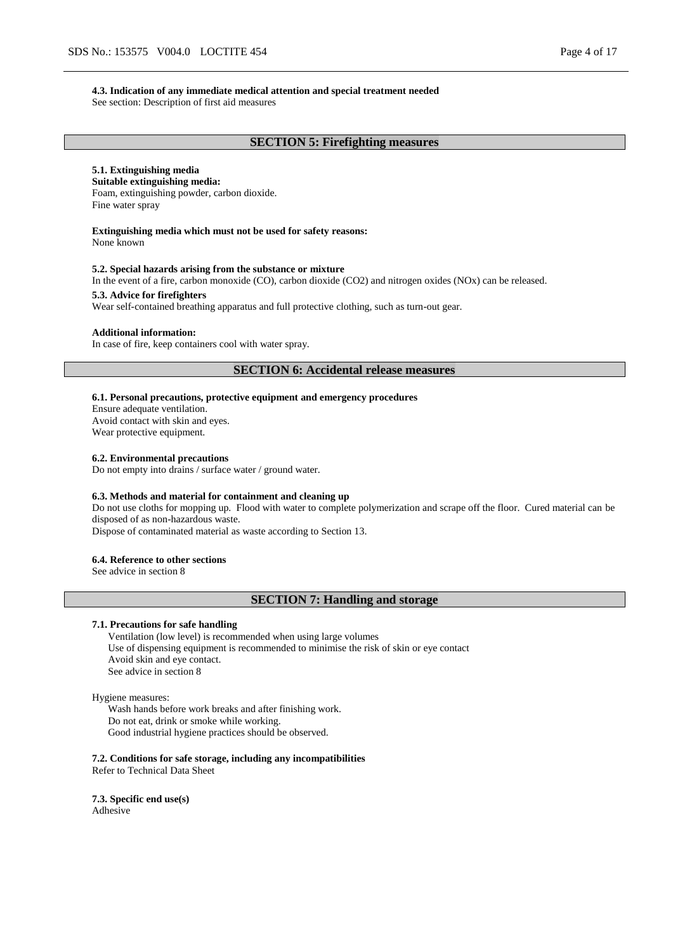#### **4.3. Indication of any immediate medical attention and special treatment needed**

See section: Description of first aid measures

### **SECTION 5: Firefighting measures**

## **5.1. Extinguishing media**

**Suitable extinguishing media:** Foam, extinguishing powder, carbon dioxide. Fine water spray

## **Extinguishing media which must not be used for safety reasons:**

None known

#### **5.2. Special hazards arising from the substance or mixture**

In the event of a fire, carbon monoxide (CO), carbon dioxide (CO2) and nitrogen oxides (NOx) can be released.

#### **5.3. Advice for firefighters**

Wear self-contained breathing apparatus and full protective clothing, such as turn-out gear.

#### **Additional information:**

In case of fire, keep containers cool with water spray.

## **SECTION 6: Accidental release measures**

## **6.1. Personal precautions, protective equipment and emergency procedures**

Ensure adequate ventilation. Avoid contact with skin and eyes.

Wear protective equipment.

#### **6.2. Environmental precautions**

Do not empty into drains / surface water / ground water.

#### **6.3. Methods and material for containment and cleaning up**

Do not use cloths for mopping up. Flood with water to complete polymerization and scrape off the floor. Cured material can be disposed of as non-hazardous waste.

Dispose of contaminated material as waste according to Section 13.

#### **6.4. Reference to other sections**

See advice in section 8

### **SECTION 7: Handling and storage**

### **7.1. Precautions for safe handling**

Ventilation (low level) is recommended when using large volumes Use of dispensing equipment is recommended to minimise the risk of skin or eye contact Avoid skin and eye contact. See advice in section 8

#### Hygiene measures:

Wash hands before work breaks and after finishing work. Do not eat, drink or smoke while working. Good industrial hygiene practices should be observed.

**7.2. Conditions for safe storage, including any incompatibilities** Refer to Technical Data Sheet

**7.3. Specific end use(s)** Adhesive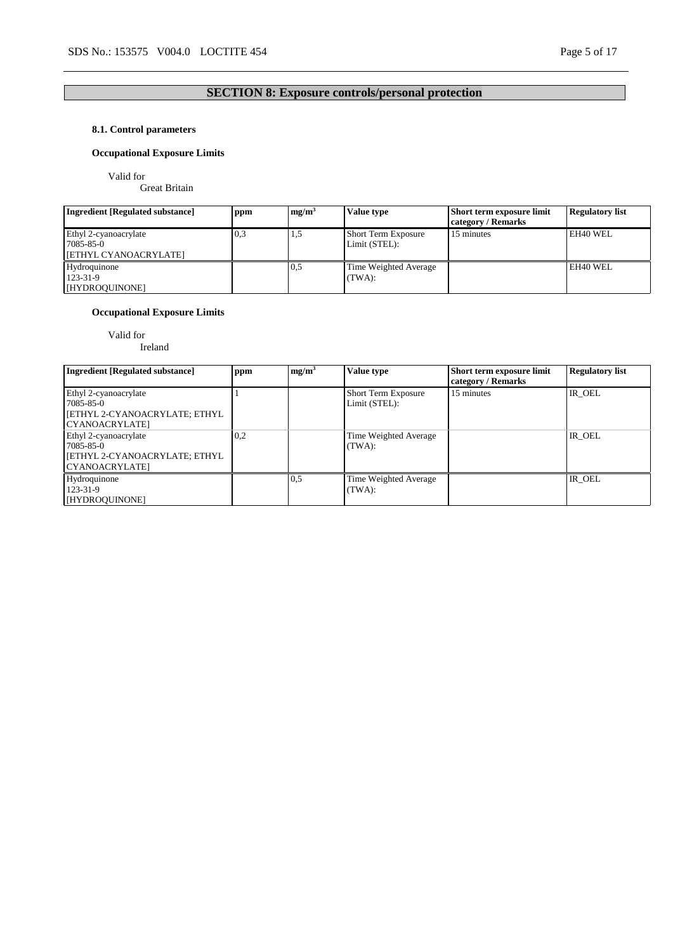# **SECTION 8: Exposure controls/personal protection**

## **8.1. Control parameters**

## **Occupational Exposure Limits**

Valid for

Great Britain

| <b>Ingredient [Regulated substance]</b>                     | ppm | mg/m <sup>3</sup> | Value type                                  | Short term exposure limit<br>category / Remarks | <b>Regulatory list</b> |
|-------------------------------------------------------------|-----|-------------------|---------------------------------------------|-------------------------------------------------|------------------------|
| Ethyl 2-cyanoacrylate<br>7085-85-0<br>[ETHYL CYANOACRYLATE] | 0,3 | L.J               | <b>Short Term Exposure</b><br>Limit (STEL): | 15 minutes                                      | EH40 WEL               |
| Hydroquinone<br>123-31-9<br>[HYDROQUINONE]                  |     | 0.5               | Time Weighted Average<br>(TWA):             |                                                 | EH40 WEL               |

## **Occupational Exposure Limits**

Valid for

Ireland

| <b>Ingredient [Regulated substance]</b>                                                 | ppm | mg/m <sup>3</sup> | Value type                                  | Short term exposure limit<br>category / Remarks | <b>Regulatory list</b> |
|-----------------------------------------------------------------------------------------|-----|-------------------|---------------------------------------------|-------------------------------------------------|------------------------|
| Ethyl 2-cyanoacrylate<br>7085-85-0<br>  [ETHYL 2-CYANOACRYLATE; ETHYL<br>CYANOACRYLATE] |     |                   | <b>Short Term Exposure</b><br>Limit (STEL): | 15 minutes                                      | IR OEL                 |
| Ethyl 2-cyanoacrylate<br>7085-85-0<br>  [ETHYL 2-CYANOACRYLATE; ETHYL<br>CYANOACRYLATE] | 0,2 |                   | Time Weighted Average<br>(TWA):             |                                                 | IR OEL                 |
| Hydroquinone<br>123-31-9<br>[HYDROQUINONE]                                              |     | 0,5               | Time Weighted Average<br>(TWA):             |                                                 | IR OEL                 |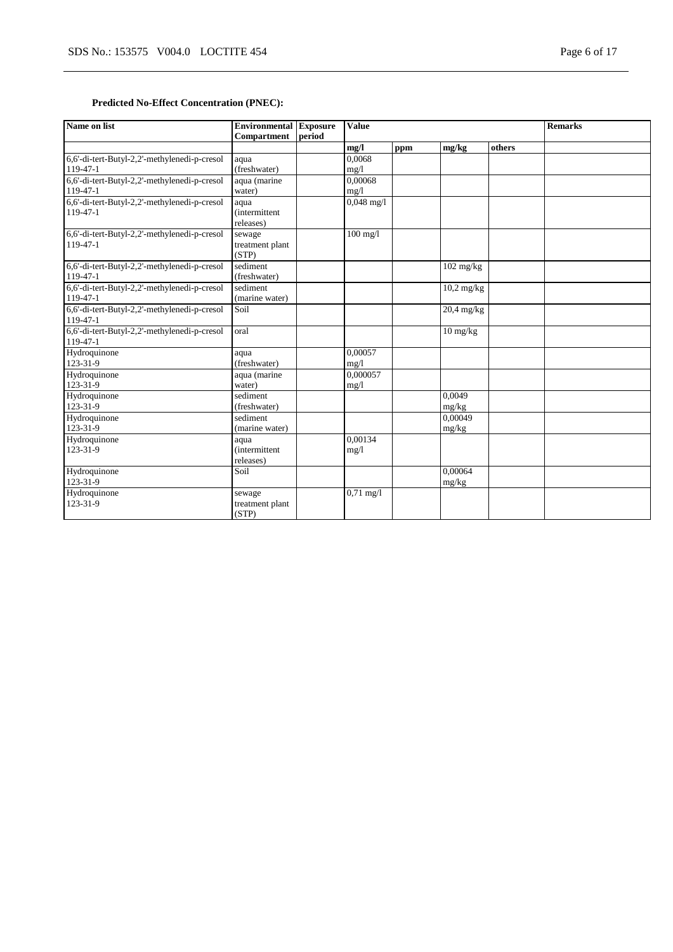## **Predicted No-Effect Concentration (PNEC):**

| Name on list                                               | <b>Environmental Exposure</b><br><b>Compartment</b> | period | <b>Value</b>         |     |                    | <b>Remarks</b> |  |
|------------------------------------------------------------|-----------------------------------------------------|--------|----------------------|-----|--------------------|----------------|--|
|                                                            |                                                     |        | mg/l                 | ppm | mg/kg              | others         |  |
| 6,6'-di-tert-Butyl-2,2'-methylenedi-p-cresol<br>$119-47-1$ | aqua<br>(freshwater)                                |        | 0.0068<br>mg/1       |     |                    |                |  |
| 6,6'-di-tert-Butyl-2,2'-methylenedi-p-cresol<br>119-47-1   | aqua (marine<br>water)                              |        | 0.00068<br>mg/1      |     |                    |                |  |
| 6,6'-di-tert-Butyl-2,2'-methylenedi-p-cresol<br>119-47-1   | aqua<br><i>(intermittent)</i><br>releases)          |        | $0,048 \text{ mg}/1$ |     |                    |                |  |
| 6,6'-di-tert-Butyl-2,2'-methylenedi-p-cresol<br>$119-47-1$ | sewage<br>treatment plant<br>(STP)                  |        | $100$ mg/l           |     |                    |                |  |
| 6,6'-di-tert-Butyl-2,2'-methylenedi-p-cresol<br>$119-47-1$ | sediment<br>(freshwater)                            |        |                      |     | $102$ mg/kg        |                |  |
| 6,6'-di-tert-Butyl-2,2'-methylenedi-p-cresol<br>$119-47-1$ | sediment<br>(marine water)                          |        |                      |     | $10,2$ mg/kg       |                |  |
| 6,6'-di-tert-Butyl-2,2'-methylenedi-p-cresol<br>$119-47-1$ | Soil                                                |        |                      |     | 20,4 mg/kg         |                |  |
| 6,6'-di-tert-Butyl-2,2'-methylenedi-p-cresol<br>$119-47-1$ | oral                                                |        |                      |     | $10 \text{ mg/kg}$ |                |  |
| Hydroquinone<br>123-31-9                                   | aqua<br>(freshwater)                                |        | 0.00057<br>mg/l      |     |                    |                |  |
| Hydroquinone<br>123-31-9                                   | aqua (marine<br>water)                              |        | 0.000057<br>mg/1     |     |                    |                |  |
| Hydroquinone<br>123-31-9                                   | sediment<br>(freshwater)                            |        |                      |     | 0.0049<br>mg/kg    |                |  |
| Hydroquinone<br>123-31-9                                   | sediment<br>(marine water)                          |        |                      |     | 0.00049<br>mg/kg   |                |  |
| Hydroquinone<br>123-31-9                                   | aqua<br><i>(intermittent)</i><br>releases)          |        | 0.00134<br>mg/1      |     |                    |                |  |
| Hydroquinone<br>123-31-9                                   | Soil                                                |        |                      |     | 0.00064<br>mg/kg   |                |  |
| Hydroquinone<br>123-31-9                                   | sewage<br>treatment plant<br>(STP)                  |        | $0,71 \text{ mg}/1$  |     |                    |                |  |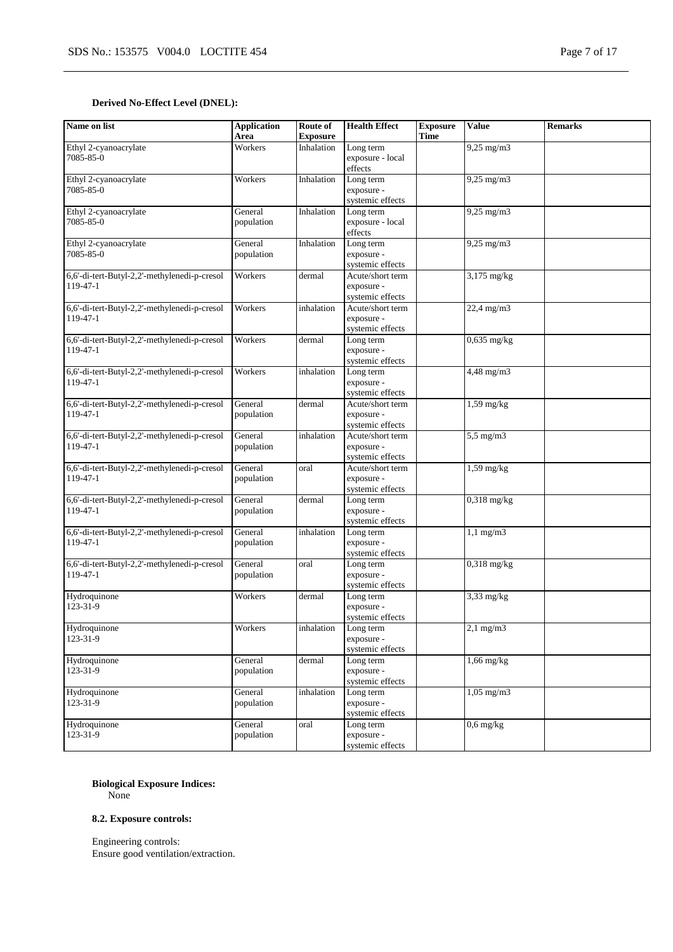## **Derived No-Effect Level (DNEL):**

| Name on list                                             | <b>Application</b><br>Area | Route of<br><b>Exposure</b> | <b>Health Effect</b>                               | <b>Exposure</b><br><b>Time</b> | <b>Value</b>            | <b>Remarks</b> |
|----------------------------------------------------------|----------------------------|-----------------------------|----------------------------------------------------|--------------------------------|-------------------------|----------------|
| Ethyl 2-cyanoacrylate<br>7085-85-0                       | Workers                    | Inhalation                  | Long term<br>exposure - local<br>effects           |                                | $9,25$ mg/m $3$         |                |
| Ethyl 2-cyanoacrylate<br>7085-85-0                       | Workers                    | Inhalation                  | Long term<br>exposure -<br>systemic effects        |                                | $9,25$ mg/m $3$         |                |
| Ethyl 2-cyanoacrylate<br>7085-85-0                       | General<br>population      | Inhalation                  | Long term<br>exposure - local<br>effects           |                                | $9,25$ mg/m $3$         |                |
| Ethyl 2-cyanoacrylate<br>7085-85-0                       | General<br>population      | Inhalation                  | Long term<br>exposure -<br>systemic effects        |                                | $9,25$ mg/m $3$         |                |
| 6,6'-di-tert-Butyl-2,2'-methylenedi-p-cresol<br>119-47-1 | Workers                    | dermal                      | Acute/short term<br>exposure -<br>systemic effects |                                | $3,175$ mg/kg           |                |
| 6,6'-di-tert-Butyl-2,2'-methylenedi-p-cresol<br>119-47-1 | Workers                    | inhalation                  | Acute/short term<br>exposure -<br>systemic effects |                                | 22,4 mg/m3              |                |
| 6,6'-di-tert-Butyl-2,2'-methylenedi-p-cresol<br>119-47-1 | Workers                    | dermal                      | Long term<br>exposure -<br>systemic effects        |                                | $0,635$ mg/kg           |                |
| 6,6'-di-tert-Butyl-2,2'-methylenedi-p-cresol<br>119-47-1 | Workers                    | inhalation                  | Long term<br>exposure -<br>systemic effects        |                                | $4,48$ mg/m $3$         |                |
| 6,6'-di-tert-Butyl-2,2'-methylenedi-p-cresol<br>119-47-1 | General<br>population      | dermal                      | Acute/short term<br>exposure -<br>systemic effects |                                | $1,59$ mg/kg            |                |
| 6,6'-di-tert-Butyl-2,2'-methylenedi-p-cresol<br>119-47-1 | General<br>population      | inhalation                  | Acute/short term<br>exposure -<br>systemic effects |                                | $5,5$ mg/m $3$          |                |
| 6,6'-di-tert-Butyl-2,2'-methylenedi-p-cresol<br>119-47-1 | General<br>population      | oral                        | Acute/short term<br>exposure -<br>systemic effects |                                | $1,59$ mg/kg            |                |
| 6,6'-di-tert-Butyl-2,2'-methylenedi-p-cresol<br>119-47-1 | General<br>population      | dermal                      | Long term<br>exposure -<br>systemic effects        |                                | $0,318$ mg/kg           |                |
| 6,6'-di-tert-Butyl-2,2'-methylenedi-p-cresol<br>119-47-1 | General<br>population      | inhalation                  | Long term<br>exposure -<br>systemic effects        |                                | $1,1$ mg/m $3$          |                |
| 6,6'-di-tert-Butyl-2,2'-methylenedi-p-cresol<br>119-47-1 | General<br>population      | oral                        | Long term<br>exposure -<br>systemic effects        |                                | $0,318$ mg/kg           |                |
| Hydroquinone<br>123-31-9                                 | Workers                    | dermal                      | Long term<br>exposure -<br>systemic effects        |                                | $\overline{3,33}$ mg/kg |                |
| Hydroquinone<br>123-31-9                                 | Workers                    | inhalation                  | Long term<br>exposure -<br>systemic effects        |                                | $2,1$ mg/m $3$          |                |
| Hydroquinone<br>123-31-9                                 | General<br>population      | dermal                      | Long term<br>exposure -<br>systemic effects        |                                | $1,66$ mg/kg            |                |
| Hydroquinone<br>123-31-9                                 | General<br>population      | inhalation                  | Long term<br>exposure -<br>systemic effects        |                                | $1,05$ mg/m $3$         |                |
| Hydroquinone<br>123-31-9                                 | General<br>population      | oral                        | Long term<br>exposure -<br>systemic effects        |                                | $0,6$ mg/kg             |                |

## **Biological Exposure Indices:**

None

## **8.2. Exposure controls:**

Engineering controls: Ensure good ventilation/extraction.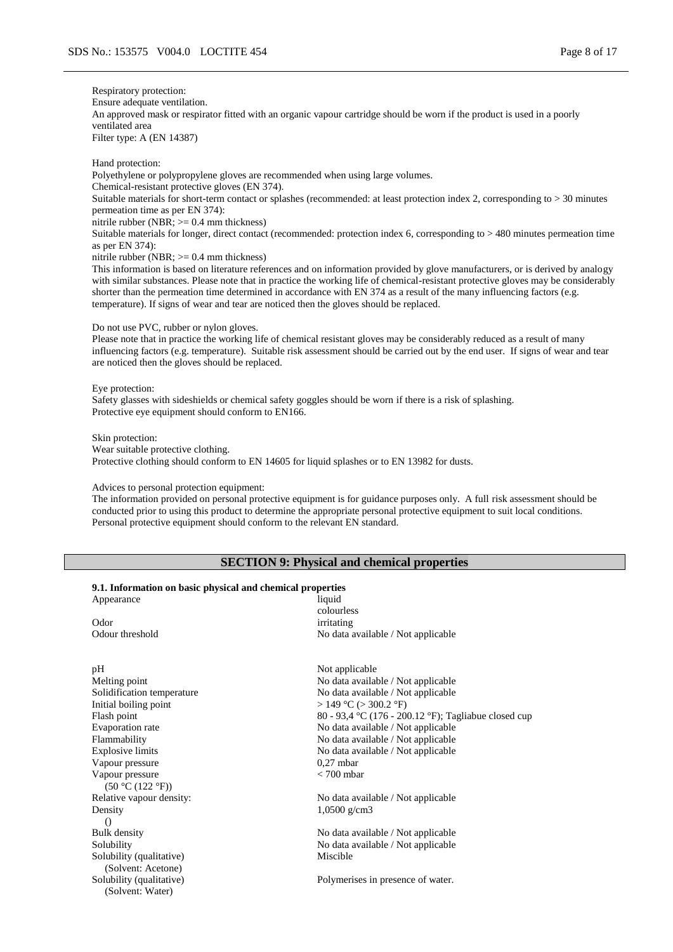Respiratory protection: Ensure adequate ventilation. An approved mask or respirator fitted with an organic vapour cartridge should be worn if the product is used in a poorly ventilated area Filter type: A (EN 14387)

Hand protection: Polyethylene or polypropylene gloves are recommended when using large volumes. Chemical-resistant protective gloves (EN 374). Suitable materials for short-term contact or splashes (recommended: at least protection index 2, corresponding to > 30 minutes permeation time as per EN 374): nitrile rubber (NBR; >= 0.4 mm thickness) Suitable materials for longer, direct contact (recommended: protection index 6, corresponding to > 480 minutes permeation time as per EN 374): nitrile rubber (NBR;  $>= 0.4$  mm thickness) This information is based on literature references and on information provided by glove manufacturers, or is derived by analogy

with similar substances. Please note that in practice the working life of chemical-resistant protective gloves may be considerably shorter than the permeation time determined in accordance with EN 374 as a result of the many influencing factors (e.g. temperature). If signs of wear and tear are noticed then the gloves should be replaced.

### Do not use PVC, rubber or nylon gloves.

Please note that in practice the working life of chemical resistant gloves may be considerably reduced as a result of many influencing factors (e.g. temperature). Suitable risk assessment should be carried out by the end user. If signs of wear and tear are noticed then the gloves should be replaced.

#### Eye protection:

Safety glasses with sideshields or chemical safety goggles should be worn if there is a risk of splashing. Protective eye equipment should conform to EN166.

Skin protection: Wear suitable protective clothing. Protective clothing should conform to EN 14605 for liquid splashes or to EN 13982 for dusts.

#### Advices to personal protection equipment:

The information provided on personal protective equipment is for guidance purposes only. A full risk assessment should be conducted prior to using this product to determine the appropriate personal protective equipment to suit local conditions. Personal protective equipment should conform to the relevant EN standard.

### **SECTION 9: Physical and chemical properties**

#### **9.1. Information on basic physical and chemical properties**

Appearance liquid Odor irritating Odour threshold No data available / Not applicable

pH Not applicable Initial boiling point  $> 149 \degree C > 300.2 \degree F$ ) Vapour pressure Vapour pressure  $(50 °C (122 °F))$ Relative vapour density: No data available / Not applicable Density () Solubility (qualitative) (Solvent: Acetone) Solubility (qualitative) (Solvent: Water)

colourless

Melting point Mo data available / Not applicable<br>Solidification temperature Mo data available / Not applicable No data available / Not applicable Flash point 80 - 93,4 °C (176 - 200.12 °F); Tagliabue closed cup Evaporation rate No data available / Not applicable Flammability No data available / Not applicable Explosive limits No data available / Not applicable<br>Vapour pressure 0.27 mbar 0.27 mbar < 700 mbar

1,0500 g/cm3

Bulk density No data available / Not applicable Solubility No data available / Not applicable Miscible

Polymerises in presence of water.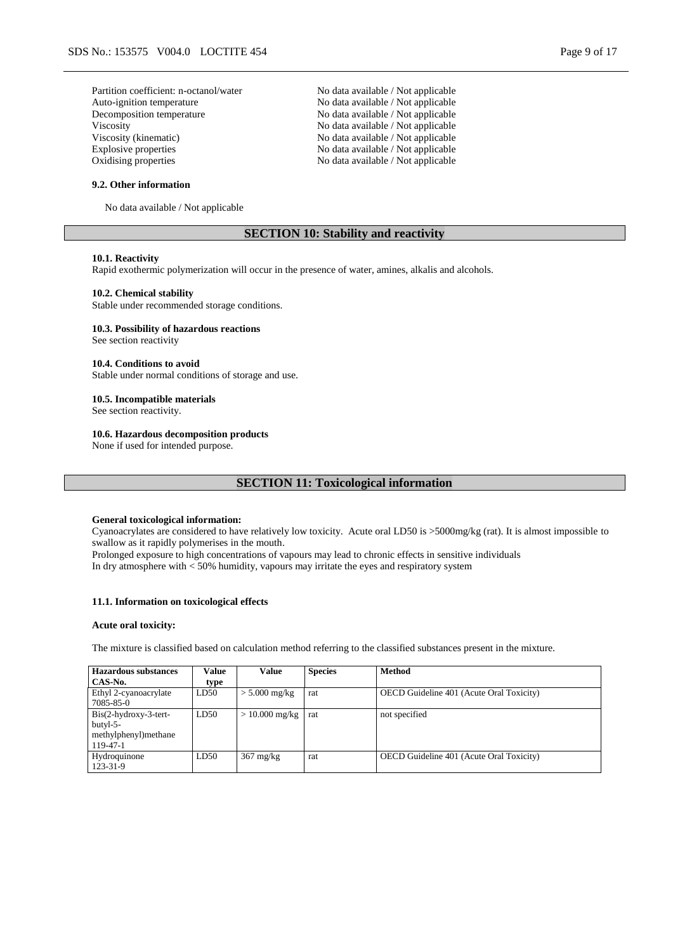Partition coefficient: n-octanol/water No data available / Not applicable Auto-ignition temperature No data available / Not applicable Decomposition temperature No data available / Not applicable Viscosity<br>Viscosity (kinematic) No data available / Not applicable<br>No data available / Not applicable Viscosity (kinematic)<br>
Explosive properties<br>
No data available / Not applicable<br>
No data available / Not applicable Oxidising properties No data available / Not applicable

#### **9.2. Other information**

No data available / Not applicable

### **SECTION 10: Stability and reactivity**

No data available / Not applicable

### **10.1. Reactivity**

Rapid exothermic polymerization will occur in the presence of water, amines, alkalis and alcohols.

### **10.2. Chemical stability**

Stable under recommended storage conditions.

#### **10.3. Possibility of hazardous reactions**

See section reactivity

### **10.4. Conditions to avoid**

Stable under normal conditions of storage and use.

### **10.5. Incompatible materials**

See section reactivity.

### **10.6. Hazardous decomposition products**

None if used for intended purpose.

## **SECTION 11: Toxicological information**

#### **General toxicological information:**

Cyanoacrylates are considered to have relatively low toxicity. Acute oral LD50 is >5000mg/kg (rat). It is almost impossible to swallow as it rapidly polymerises in the mouth.

Prolonged exposure to high concentrations of vapours may lead to chronic effects in sensitive individuals In dry atmosphere with < 50% humidity, vapours may irritate the eyes and respiratory system

#### **11.1. Information on toxicological effects**

#### **Acute oral toxicity:**

The mixture is classified based on calculation method referring to the classified substances present in the mixture.

| Hazardous substances                                                    | Value | Value               | <b>Species</b> | <b>Method</b>                                   |
|-------------------------------------------------------------------------|-------|---------------------|----------------|-------------------------------------------------|
| CAS-No.                                                                 | type  |                     |                |                                                 |
| Ethyl 2-cyanoacrylate<br>7085-85-0                                      | LD50  | $> 5.000$ mg/kg     | rat            | <b>OECD</b> Guideline 401 (Acute Oral Toxicity) |
| $Bis(2-hydroxy-3-tert-$<br>butyl-5-<br>methylphenyl)methane<br>119-47-1 | LD50  | $> 10.000$ mg/kg    | rat            | not specified                                   |
| Hydroquinone<br>123-31-9                                                | LD50  | $367 \text{ mg/kg}$ | rat            | <b>OECD</b> Guideline 401 (Acute Oral Toxicity) |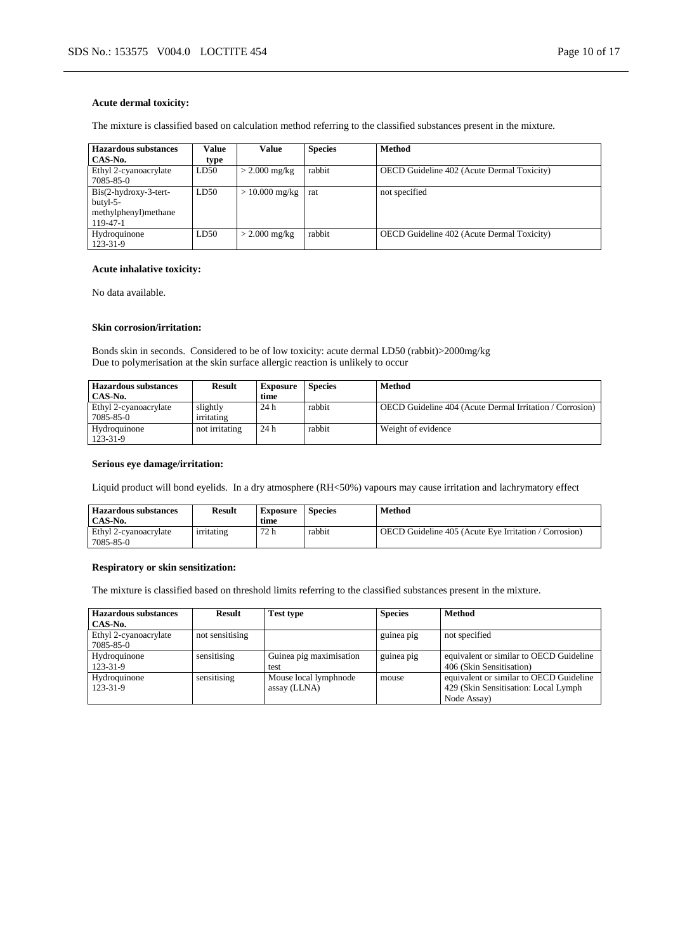### **Acute dermal toxicity:**

The mixture is classified based on calculation method referring to the classified substances present in the mixture.

| Hazardous substances    | Value | Value           | <b>Species</b> | <b>Method</b>                                     |
|-------------------------|-------|-----------------|----------------|---------------------------------------------------|
| CAS-No.                 | type  |                 |                |                                                   |
| Ethyl 2-cyanoacrylate   | LD50  | $>$ 2.000 mg/kg | rabbit         | <b>OECD</b> Guideline 402 (Acute Dermal Toxicity) |
| 7085-85-0               |       |                 |                |                                                   |
| $Bis(2-hydroxy-3-tert-$ | LD50  | $>10.000$ mg/kg | rat            | not specified                                     |
| butyl-5-                |       |                 |                |                                                   |
| methylphenyl) methane   |       |                 |                |                                                   |
| 119-47-1                |       |                 |                |                                                   |
| Hydroquinone            | LD50  | $>$ 2.000 mg/kg | rabbit         | <b>OECD</b> Guideline 402 (Acute Dermal Toxicity) |
| 123-31-9                |       |                 |                |                                                   |

#### **Acute inhalative toxicity:**

No data available.

### **Skin corrosion/irritation:**

Bonds skin in seconds. Considered to be of low toxicity: acute dermal LD50 (rabbit)>2000mg/kg Due to polymerisation at the skin surface allergic reaction is unlikely to occur

| Hazardous substances  | <b>Result</b>  | <b>Exposure</b> | <b>Species</b> | <b>Method</b>                                            |
|-----------------------|----------------|-----------------|----------------|----------------------------------------------------------|
| CAS-No.               |                | time            |                |                                                          |
| Ethyl 2-cyanoacrylate | slightly       | 24h             | rabbit         | OECD Guideline 404 (Acute Dermal Irritation / Corrosion) |
| 7085-85-0             | irritating     |                 |                |                                                          |
| Hydroquinone          | not irritating | 24h             | rabbit         | Weight of evidence                                       |
| 123-31-9              |                |                 |                |                                                          |

### **Serious eye damage/irritation:**

Liquid product will bond eyelids. In a dry atmosphere (RH<50%) vapours may cause irritation and lachrymatory effect

| <b>Hazardous substances</b><br>CAS-No. | <b>Result</b> | Exposure<br>time | Species | Method                                                       |
|----------------------------------------|---------------|------------------|---------|--------------------------------------------------------------|
| Ethyl 2-cyanoacrylate<br>7085-85-0     | irritating    | 72 h             | rabbit  | <b>OECD</b> Guideline 405 (Acute Eye Irritation / Corrosion) |

#### **Respiratory or skin sensitization:**

The mixture is classified based on threshold limits referring to the classified substances present in the mixture.

| <b>Hazardous substances</b> | Result          | <b>Test type</b>        | <b>Species</b> | Method                                  |
|-----------------------------|-----------------|-------------------------|----------------|-----------------------------------------|
| CAS-No.                     |                 |                         |                |                                         |
| Ethyl 2-cyanoacrylate       | not sensitising |                         | guinea pig     | not specified                           |
| 7085-85-0                   |                 |                         |                |                                         |
| Hydroquinone                | sensitising     | Guinea pig maximisation | guinea pig     | equivalent or similar to OECD Guideline |
| 123-31-9                    |                 | test                    |                | 406 (Skin Sensitisation)                |
| Hydroquinone                | sensitising     | Mouse local lymphnode   | mouse          | equivalent or similar to OECD Guideline |
| 123-31-9                    |                 | assay (LLNA)            |                | 429 (Skin Sensitisation: Local Lymph    |
|                             |                 |                         |                | Node Assay)                             |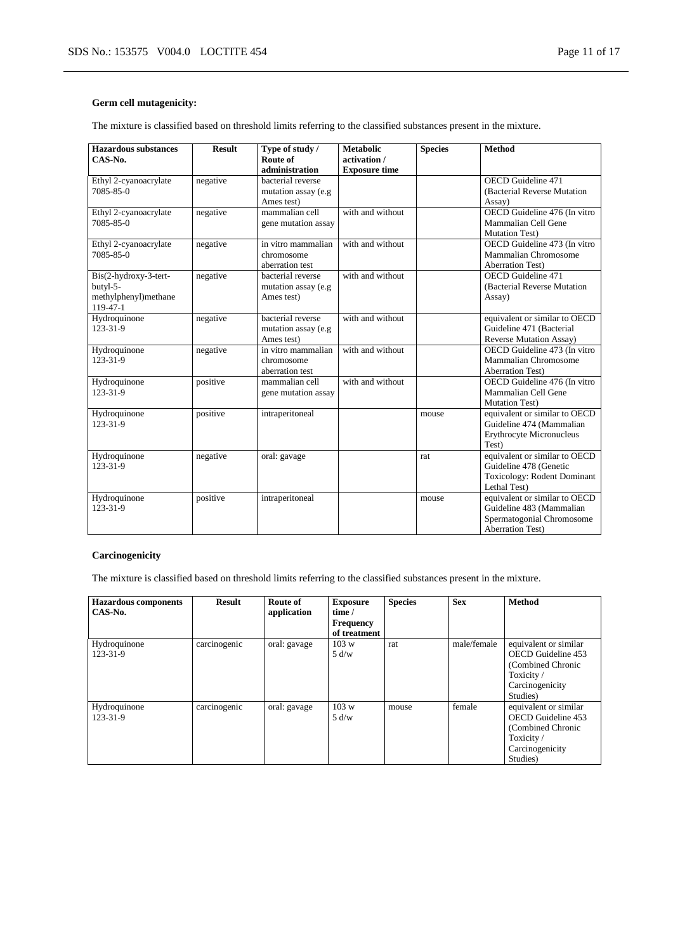## **Germ cell mutagenicity:**

The mixture is classified based on threshold limits referring to the classified substances present in the mixture.

| <b>Hazardous substances</b><br>CAS-No.                                | <b>Result</b> | Type of study /<br>Route of<br>administration          | <b>Metabolic</b><br>activation /<br><b>Exposure time</b> | <b>Species</b> | <b>Method</b>                                                                                                     |
|-----------------------------------------------------------------------|---------------|--------------------------------------------------------|----------------------------------------------------------|----------------|-------------------------------------------------------------------------------------------------------------------|
| Ethyl 2-cyanoacrylate<br>7085-85-0                                    | negative      | bacterial reverse<br>mutation assay (e.g<br>Ames test) |                                                          |                | OECD Guideline 471<br>(Bacterial Reverse Mutation)<br>Assay)                                                      |
| Ethyl 2-cyanoacrylate<br>7085-85-0                                    | negative      | mammalian cell<br>gene mutation assay                  | with and without                                         |                | OECD Guideline 476 (In vitro<br>Mammalian Cell Gene<br><b>Mutation Test)</b>                                      |
| Ethyl 2-cyanoacrylate<br>7085-85-0                                    | negative      | in vitro mammalian<br>chromosome<br>aberration test    | with and without                                         |                | OECD Guideline 473 (In vitro<br>Mammalian Chromosome<br><b>Aberration Test)</b>                                   |
| Bis(2-hydroxy-3-tert-<br>butyl-5-<br>methylphenyl)methane<br>119-47-1 | negative      | bacterial reverse<br>mutation assay (e.g<br>Ames test) | with and without                                         |                | OECD Guideline 471<br>(Bacterial Reverse Mutation<br>Assay)                                                       |
| Hydroquinone<br>123-31-9                                              | negative      | bacterial reverse<br>mutation assay (e.g<br>Ames test) | with and without                                         |                | equivalent or similar to OECD<br>Guideline 471 (Bacterial<br><b>Reverse Mutation Assay)</b>                       |
| Hydroquinone<br>$123 - 31 - 9$                                        | negative      | in vitro mammalian<br>chromosome<br>aberration test    | with and without                                         |                | OECD Guideline 473 (In vitro<br>Mammalian Chromosome<br><b>Aberration Test)</b>                                   |
| Hydroquinone<br>$123 - 31 - 9$                                        | positive      | mammalian cell<br>gene mutation assay                  | with and without                                         |                | OECD Guideline 476 (In vitro<br>Mammalian Cell Gene<br>Mutation Test)                                             |
| Hydroquinone<br>123-31-9                                              | positive      | intraperitoneal                                        |                                                          | mouse          | equivalent or similar to OECD<br>Guideline 474 (Mammalian<br><b>Erythrocyte Micronucleus</b><br>Test)             |
| Hydroquinone<br>123-31-9                                              | negative      | oral: gavage                                           |                                                          | rat            | equivalent or similar to OECD<br>Guideline 478 (Genetic<br><b>Toxicology: Rodent Dominant</b><br>Lethal Test)     |
| Hydroquinone<br>123-31-9                                              | positive      | intraperitoneal                                        |                                                          | mouse          | equivalent or similar to OECD<br>Guideline 483 (Mammalian<br>Spermatogonial Chromosome<br><b>Aberration Test)</b> |

### **Carcinogenicity**

The mixture is classified based on threshold limits referring to the classified substances present in the mixture.

| <b>Hazardous</b> components | <b>Result</b> | Route of     | <b>Exposure</b>  | <b>Species</b> | <b>Sex</b>  | <b>Method</b>         |
|-----------------------------|---------------|--------------|------------------|----------------|-------------|-----------------------|
| CAS-No.                     |               | application  | time /           |                |             |                       |
|                             |               |              | <b>Frequency</b> |                |             |                       |
|                             |               |              | of treatment     |                |             |                       |
| Hydroquinone                | carcinogenic  | oral: gavage | 103 w            | rat            | male/female | equivalent or similar |
| 123-31-9                    |               |              | 5 d/w            |                |             | OECD Guideline 453    |
|                             |               |              |                  |                |             | (Combined Chronic     |
|                             |               |              |                  |                |             | Toxicity/             |
|                             |               |              |                  |                |             | Carcinogenicity       |
|                             |               |              |                  |                |             | Studies)              |
| Hydroquinone                | carcinogenic  | oral: gavage | 103 w            | mouse          | female      | equivalent or similar |
| 123-31-9                    |               |              | 5 d/w            |                |             | OECD Guideline 453    |
|                             |               |              |                  |                |             | (Combined Chronic     |
|                             |               |              |                  |                |             | Toxicity/             |
|                             |               |              |                  |                |             | Carcinogenicity       |
|                             |               |              |                  |                |             | Studies)              |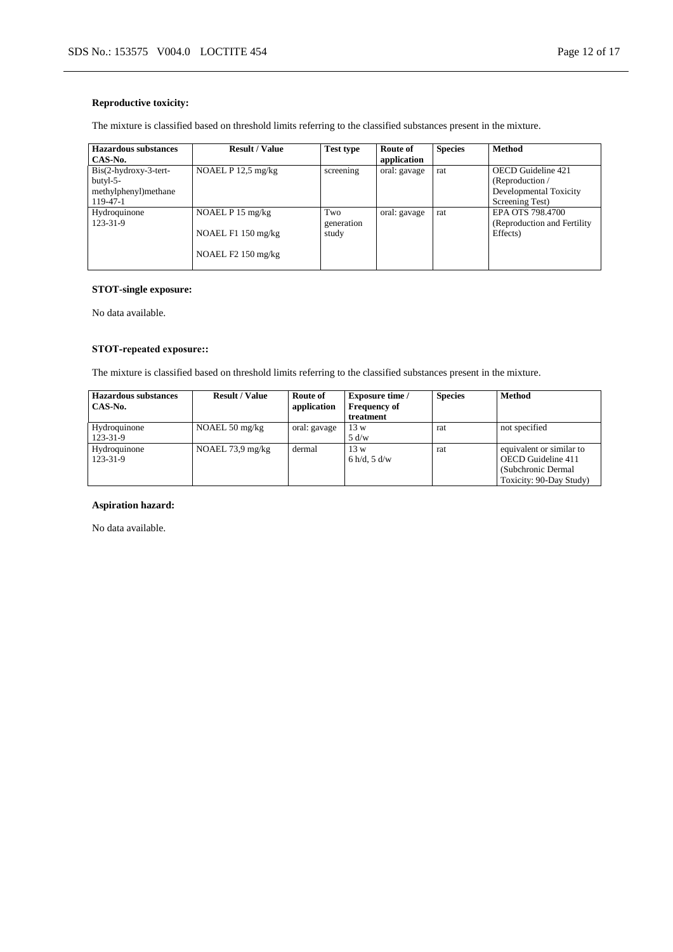## **Reproductive toxicity:**

The mixture is classified based on threshold limits referring to the classified substances present in the mixture.

| <b>Result / Value</b> | <b>Test type</b>     | Route of     | <b>Species</b>              | <b>Method</b>                |
|-----------------------|----------------------|--------------|-----------------------------|------------------------------|
|                       |                      |              |                             |                              |
|                       |                      |              |                             | <b>OECD</b> Guideline 421    |
|                       |                      |              |                             | (Reproduction /              |
|                       |                      |              |                             | Developmental Toxicity       |
|                       |                      |              |                             | Screening Test)              |
| NOAEL $P$ 15 mg/kg    | Two                  | oral: gavage | rat                         | EPA OTS 798.4700             |
|                       | generation           |              |                             | (Reproduction and Fertility) |
| NOAEL $F1150$ mg/kg   | study                |              |                             | Effects)                     |
| NOAEL $F2$ 150 mg/kg  |                      |              |                             |                              |
|                       | NOAEL $P$ 12.5 mg/kg | screening    | application<br>oral: gavage | rat                          |

## **STOT-single exposure:**

No data available.

## **STOT-repeated exposure::**

The mixture is classified based on threshold limits referring to the classified substances present in the mixture.

| <b>Hazardous substances</b> | <b>Result / Value</b>      | Route of     | <b>Exposure time</b> / | <b>Species</b> | <b>Method</b>            |
|-----------------------------|----------------------------|--------------|------------------------|----------------|--------------------------|
| CAS-No.                     |                            | application  | <b>Frequency of</b>    |                |                          |
|                             |                            |              | treatment              |                |                          |
| Hydroquinone                | NOAEL $50 \text{ mg/kg}$   | oral: gavage | 13 w                   | rat            | not specified            |
| 123-31-9                    |                            |              | 5 d/w                  |                |                          |
| Hydroquinone                | NOAEL $73.9 \text{ mg/kg}$ | dermal       | 13 w                   | rat            | equivalent or similar to |
| 123-31-9                    |                            |              | 6 h/d, 5 d/w           |                | OECD Guideline 411       |
|                             |                            |              |                        |                | (Subchronic Dermal)      |
|                             |                            |              |                        |                | Toxicity: 90-Day Study)  |

### **Aspiration hazard:**

No data available.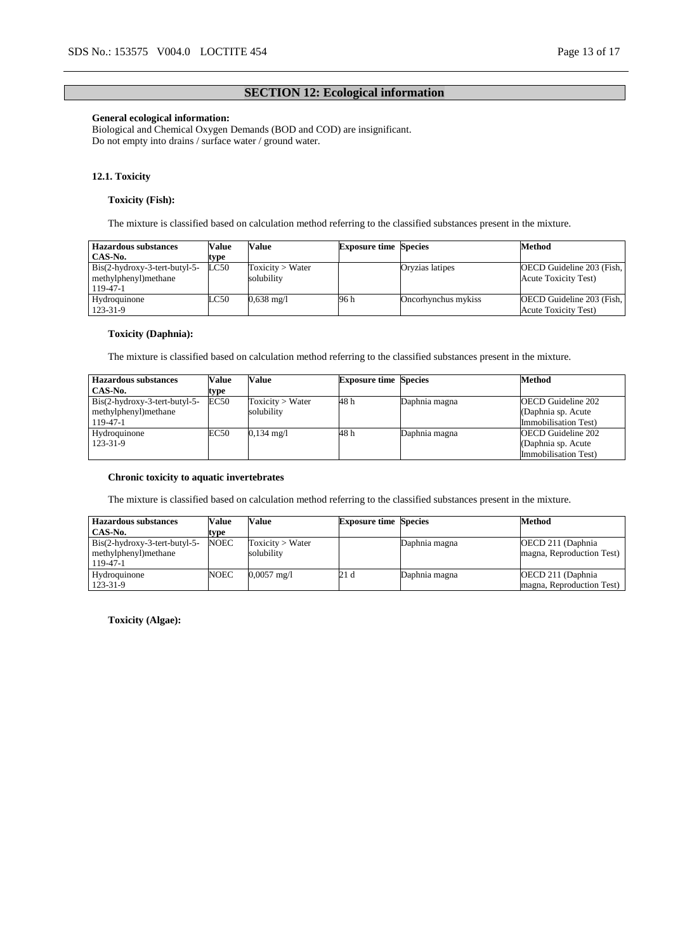## **SECTION 12: Ecological information**

### **General ecological information:**

Biological and Chemical Oxygen Demands (BOD and COD) are insignificant. Do not empty into drains / surface water / ground water.

### **12.1. Toxicity**

### **Toxicity (Fish):**

The mixture is classified based on calculation method referring to the classified substances present in the mixture.

| Hazardous substances          | Value | Value                | <b>Exposure time Species</b> |                     | Method                       |
|-------------------------------|-------|----------------------|------------------------------|---------------------|------------------------------|
| CAS-No.                       | tvpe  |                      |                              |                     |                              |
| Bis(2-hydroxy-3-tert-butyl-5- | LC50  | Toxicity > Water     |                              | Oryzias latipes     | OECD Guideline 203 (Fish,    |
| methylphenyl)methane          |       | solubilitv           |                              |                     | <b>Acute Toxicity Test</b> ) |
| 119-47-1                      |       |                      |                              |                     |                              |
| Hydroquinone                  | LC50  | $0.638 \text{ mg}/1$ | 96 h                         | Oncorhynchus mykiss | OECD Guideline 203 (Fish,    |
| 123-31-9                      |       |                      |                              |                     | <b>Acute Toxicity Test)</b>  |

### **Toxicity (Daphnia):**

The mixture is classified based on calculation method referring to the classified substances present in the mixture.

| Hazardous substances          | <b>Value</b> | Value                | <b>Exposure time Species</b> |               | <b>Method</b>             |
|-------------------------------|--------------|----------------------|------------------------------|---------------|---------------------------|
| CAS-No.                       | type         |                      |                              |               |                           |
| Bis(2-hydroxy-3-tert-butyl-5- | <b>EC50</b>  | Toxicity > Water     | 48 h                         | Daphnia magna | <b>OECD</b> Guideline 202 |
| methylphenyl) methane         |              | solubilitv           |                              |               | (Daphnia sp. Acute)       |
| 119-47-1                      |              |                      |                              |               | Immobilisation Test)      |
| Hydroquinone                  | EC50         | $0,134 \text{ mg}/1$ | 48 h                         | Daphnia magna | <b>OECD</b> Guideline 202 |
| 123-31-9                      |              |                      |                              |               | (Daphnia sp. Acute        |
|                               |              |                      |                              |               | Immobilisation Test)      |

### **Chronic toxicity to aquatic invertebrates**

The mixture is classified based on calculation method referring to the classified substances present in the mixture.

| <b>Hazardous substances</b>                                          | Value       | Value                          | <b>Exposure time Species</b> |               | Method                                          |
|----------------------------------------------------------------------|-------------|--------------------------------|------------------------------|---------------|-------------------------------------------------|
| CAS-No.                                                              | type        |                                |                              |               |                                                 |
| $Bis(2-hydroxy-3-tert-butyl-5-$<br>methylphenyl) methane<br>119-47-1 | <b>NOEC</b> | Toxicity > Water<br>solubilitv |                              | Daphnia magna | OECD 211 (Daphnia)<br>magna, Reproduction Test) |
| Hydroquinone<br>123-31-9                                             | NOEC        | $0,0057 \text{ mg/l}$          | 21 d                         | Daphnia magna | OECD 211 (Daphnia)<br>magna, Reproduction Test) |

**Toxicity (Algae):**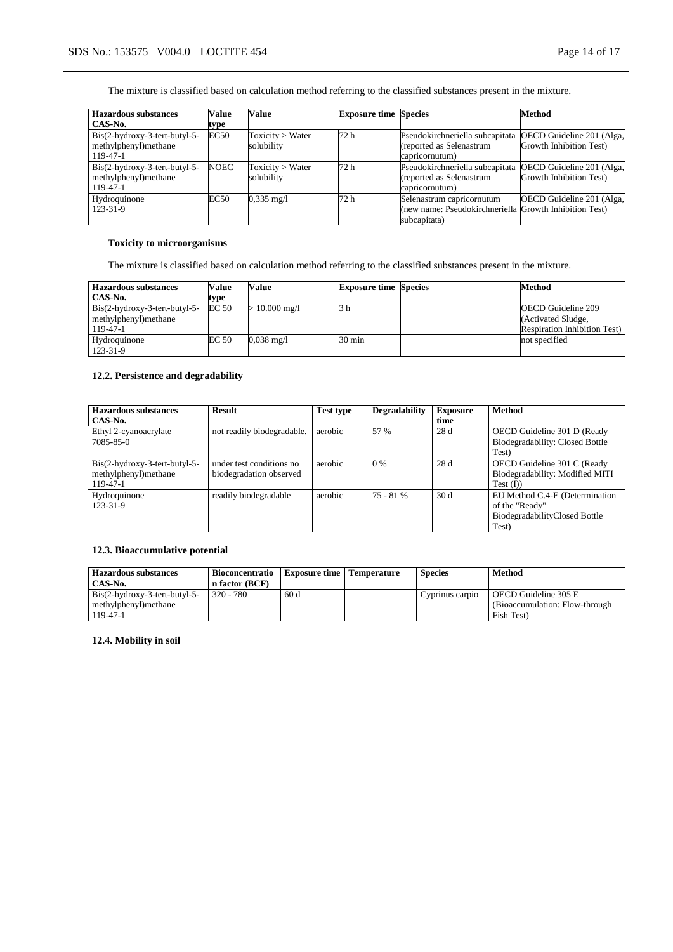The mixture is classified based on calculation method referring to the classified substances present in the mixture.

| <b>Hazardous substances</b>     | Value       | Value                | <b>Exposure time Species</b> |                                                        | Method                    |
|---------------------------------|-------------|----------------------|------------------------------|--------------------------------------------------------|---------------------------|
| CAS-No.                         | type        |                      |                              |                                                        |                           |
| Bis(2-hydroxy-3-tert-butyl-5-   | <b>EC50</b> | Toxicity > Water     | 72 h                         | Pseudokirchneriella subcapitata                        | OECD Guideline 201 (Alga, |
| methylphenyl)methane            |             | solubility           |                              | (reported as Selenastrum                               | Growth Inhibition Test)   |
| 119-47-1                        |             |                      |                              | capricornutum)                                         |                           |
| $Bis(2-hydroxy-3-tert-butyl-5-$ | <b>NOEC</b> | Toxicity > Water     | 72 h                         | Pseudokirchneriella subcapitata                        | OECD Guideline 201 (Alga, |
| methylphenyl)methane            |             | solubility           |                              | (reported as Selenastrum                               | Growth Inhibition Test)   |
| 119-47-1                        |             |                      |                              | capricornutum)                                         |                           |
| Hydroquinone                    | EC50        | $0.335 \text{ mg}/1$ | 72 h                         | Selenastrum capricornutum                              | OECD Guideline 201 (Alga, |
| 123-31-9                        |             |                      |                              | (new name: Pseudokirchneriella Growth Inhibition Test) |                           |
|                                 |             |                      |                              | subcapitata)                                           |                           |

## **Toxicity to microorganisms**

The mixture is classified based on calculation method referring to the classified substances present in the mixture.

| <b>Hazardous substances</b>   | Value | Value                | <b>Exposure time Species</b> | <b>Method</b>                        |
|-------------------------------|-------|----------------------|------------------------------|--------------------------------------|
| CAS-No.                       | type  |                      |                              |                                      |
| Bis(2-hydroxy-3-tert-butyl-5- | EC 50 | $\cdot$ 10.000 mg/l  | 3 h                          | <b>OECD</b> Guideline 209            |
| methylphenyl) methane         |       |                      |                              | (Activated Sludge,                   |
| 119-47-1                      |       |                      |                              | <b>Respiration Inhibition Test</b> ) |
| Hydroquinone                  | EC 50 | $0.038 \text{ mg}/1$ | 30 min                       | not specified                        |
| 123-31-9                      |       |                      |                              |                                      |

## **12.2. Persistence and degradability**

| <b>Hazardous substances</b>     | <b>Result</b>              | <b>Test type</b> | <b>Degradability</b> | <b>Exposure</b> | <b>Method</b>                   |
|---------------------------------|----------------------------|------------------|----------------------|-----------------|---------------------------------|
| CAS-No.                         |                            |                  |                      | time            |                                 |
| Ethyl 2-cyanoacrylate           | not readily biodegradable. | aerobic          | 57 %                 | 28 d            | OECD Guideline 301 D (Ready     |
| 7085-85-0                       |                            |                  |                      |                 | Biodegradability: Closed Bottle |
|                                 |                            |                  |                      |                 | Test)                           |
| $Bis(2-hydroxy-3-tert-butyl-5-$ | under test conditions no   | aerobic          | $0\%$                | 28d             | OECD Guideline 301 C (Ready     |
| methylphenyl)methane            | biodegradation observed    |                  |                      |                 | Biodegradability: Modified MITI |
| 119-47-1                        |                            |                  |                      |                 | Test (I))                       |
| Hydroquinone                    | readily biodegradable      | aerobic          | $75 - 81%$           | 30 d            | EU Method C.4-E (Determination  |
| 123-31-9                        |                            |                  |                      |                 | of the "Ready"                  |
|                                 |                            |                  |                      |                 | BiodegradabilityClosed Bottle   |
|                                 |                            |                  |                      |                 | Test)                           |

## **12.3. Bioaccumulative potential**

| <b>Hazardous substances</b>   | <b>Bioconcentratio</b> | <b>Exposure time   Temperature</b> | <b>Species</b>  | Method                          |
|-------------------------------|------------------------|------------------------------------|-----------------|---------------------------------|
| CAS-No.                       | n factor (BCF)         |                                    |                 |                                 |
| Bis(2-hydroxy-3-tert-butyl-5- | $320 - 780$            | 60d                                | Cyprinus carpio | OECD Guideline 305 E            |
| methylphenyl) methane         |                        |                                    |                 | (Bioaccumulation: Flow-through) |
| $119 - 47 - 1$                |                        |                                    |                 | Fish Test)                      |

**12.4. Mobility in soil**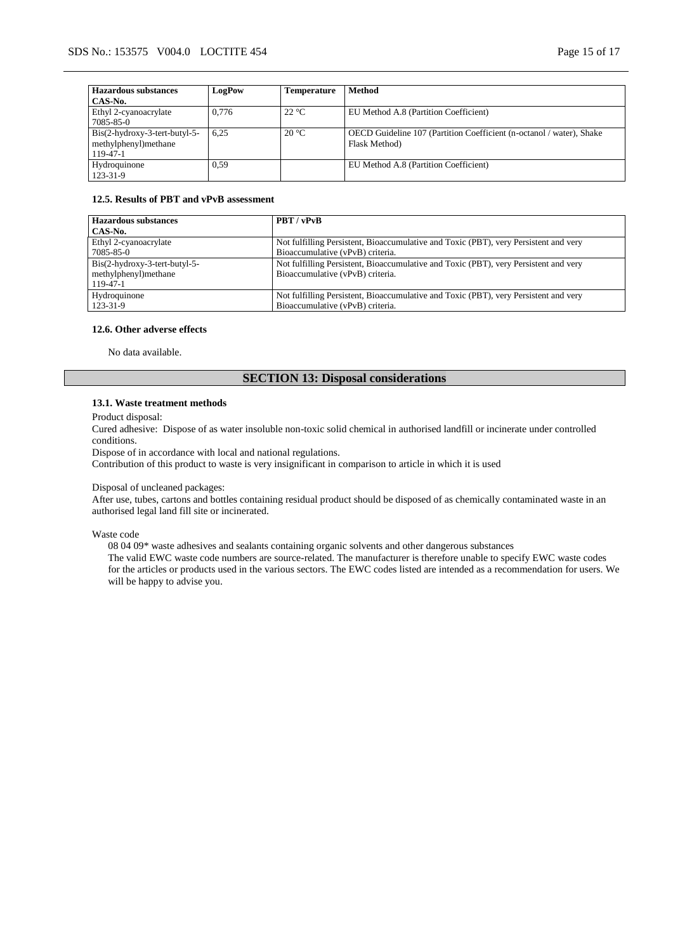| <b>Hazardous substances</b>   | LogPow | <b>Temperature</b> | <b>Method</b>                                                        |
|-------------------------------|--------|--------------------|----------------------------------------------------------------------|
| CAS-No.                       |        |                    |                                                                      |
| Ethyl 2-cyanoacrylate         | 0.776  | $22^{\circ}C$      | EU Method A.8 (Partition Coefficient)                                |
| 7085-85-0                     |        |                    |                                                                      |
| Bis(2-hydroxy-3-tert-butyl-5- | 6.25   | $20^{\circ}$ C     | OECD Guideline 107 (Partition Coefficient (n-octanol / water), Shake |
| methylphenyl)methane          |        |                    | Flask Method)                                                        |
| 119-47-1                      |        |                    |                                                                      |
| Hydroquinone                  | 0.59   |                    | EU Method A.8 (Partition Coefficient)                                |
| 123-31-9                      |        |                    |                                                                      |

#### **12.5. Results of PBT and vPvB assessment**

| <b>Hazardous substances</b>     | PBT / vPvB                                                                           |
|---------------------------------|--------------------------------------------------------------------------------------|
| CAS-No.                         |                                                                                      |
| Ethyl 2-cyanoacrylate           | Not fulfilling Persistent, Bioaccumulative and Toxic (PBT), very Persistent and very |
| 7085-85-0                       | Bioaccumulative (vPvB) criteria.                                                     |
| $Bis(2-hydroxy-3-tert-butyl-5-$ | Not fulfilling Persistent, Bioaccumulative and Toxic (PBT), very Persistent and very |
| methylphenyl)methane            | Bioaccumulative (vPvB) criteria.                                                     |
| 119-47-1                        |                                                                                      |
| Hydroquinone                    | Not fulfilling Persistent, Bioaccumulative and Toxic (PBT), very Persistent and very |
| 123-31-9                        | Bioaccumulative (vPvB) criteria.                                                     |

#### **12.6. Other adverse effects**

No data available.

## **SECTION 13: Disposal considerations**

### **13.1. Waste treatment methods**

Product disposal:

Cured adhesive: Dispose of as water insoluble non-toxic solid chemical in authorised landfill or incinerate under controlled conditions.

Dispose of in accordance with local and national regulations.

Contribution of this product to waste is very insignificant in comparison to article in which it is used

### Disposal of uncleaned packages:

After use, tubes, cartons and bottles containing residual product should be disposed of as chemically contaminated waste in an authorised legal land fill site or incinerated.

Waste code

08 04 09\* waste adhesives and sealants containing organic solvents and other dangerous substances The valid EWC waste code numbers are source-related. The manufacturer is therefore unable to specify EWC waste codes for the articles or products used in the various sectors. The EWC codes listed are intended as a recommendation for users. We will be happy to advise you.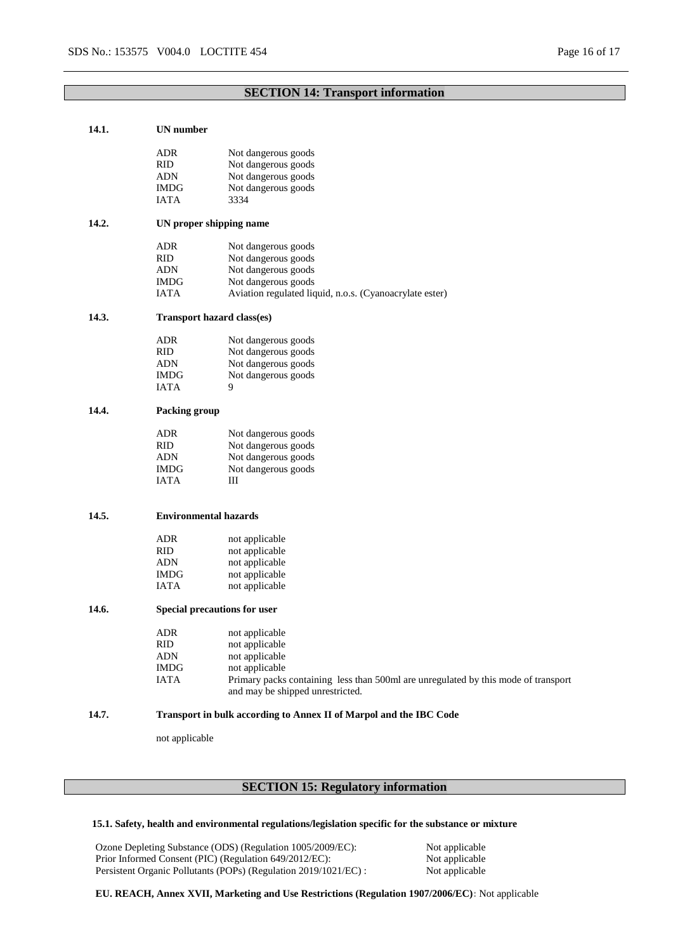## **SECTION 14: Transport information**

| 14.1. | UN number                    |                                                                                    |  |  |  |  |
|-------|------------------------------|------------------------------------------------------------------------------------|--|--|--|--|
|       | ADR.                         | Not dangerous goods                                                                |  |  |  |  |
|       | <b>RID</b>                   | Not dangerous goods                                                                |  |  |  |  |
|       | <b>ADN</b>                   | Not dangerous goods                                                                |  |  |  |  |
|       | <b>IMDG</b>                  | Not dangerous goods                                                                |  |  |  |  |
|       | <b>IATA</b>                  | 3334                                                                               |  |  |  |  |
|       |                              |                                                                                    |  |  |  |  |
| 14.2. | UN proper shipping name      |                                                                                    |  |  |  |  |
|       | ADR.                         | Not dangerous goods                                                                |  |  |  |  |
|       | <b>RID</b>                   | Not dangerous goods                                                                |  |  |  |  |
|       | <b>ADN</b>                   | Not dangerous goods                                                                |  |  |  |  |
|       | <b>IMDG</b>                  | Not dangerous goods                                                                |  |  |  |  |
|       | <b>IATA</b>                  | Aviation regulated liquid, n.o.s. (Cyanoacrylate ester)                            |  |  |  |  |
| 14.3. |                              | Transport hazard class(es)                                                         |  |  |  |  |
|       |                              |                                                                                    |  |  |  |  |
|       | ADR.                         | Not dangerous goods                                                                |  |  |  |  |
|       | <b>RID</b>                   | Not dangerous goods                                                                |  |  |  |  |
|       | ADN                          | Not dangerous goods                                                                |  |  |  |  |
|       | <b>IMDG</b>                  | Not dangerous goods                                                                |  |  |  |  |
|       | <b>IATA</b>                  | 9                                                                                  |  |  |  |  |
| 14.4. | Packing group                |                                                                                    |  |  |  |  |
|       | <b>ADR</b>                   | Not dangerous goods                                                                |  |  |  |  |
|       | <b>RID</b>                   | Not dangerous goods                                                                |  |  |  |  |
|       | <b>ADN</b>                   | Not dangerous goods                                                                |  |  |  |  |
|       | <b>IMDG</b>                  | Not dangerous goods                                                                |  |  |  |  |
|       | <b>IATA</b>                  | Ш                                                                                  |  |  |  |  |
|       |                              |                                                                                    |  |  |  |  |
| 14.5. | <b>Environmental hazards</b> |                                                                                    |  |  |  |  |
|       | <b>ADR</b>                   | not applicable                                                                     |  |  |  |  |
|       | <b>RID</b>                   | not applicable                                                                     |  |  |  |  |
|       | <b>ADN</b>                   | not applicable                                                                     |  |  |  |  |
|       | <b>IMDG</b>                  | not applicable                                                                     |  |  |  |  |
|       | <b>IATA</b>                  | not applicable                                                                     |  |  |  |  |
| 14.6. |                              | Special precautions for user                                                       |  |  |  |  |
|       |                              |                                                                                    |  |  |  |  |
|       | ADR                          | not applicable                                                                     |  |  |  |  |
|       | <b>RID</b>                   | not applicable                                                                     |  |  |  |  |
|       | <b>ADN</b>                   | not applicable                                                                     |  |  |  |  |
|       | <b>IMDG</b>                  | not applicable                                                                     |  |  |  |  |
|       | <b>IATA</b>                  | Primary packs containing less than 500ml are unregulated by this mode of transport |  |  |  |  |
|       |                              | and may be shipped unrestricted.                                                   |  |  |  |  |
| 14.7. |                              | Transport in bulk according to Annex II of Marpol and the IBC Code                 |  |  |  |  |
|       | not applicable               |                                                                                    |  |  |  |  |

# **SECTION 15: Regulatory information**

## **15.1. Safety, health and environmental regulations/legislation specific for the substance or mixture**

Ozone Depleting Substance (ODS) (Regulation 1005/2009/EC): Not applicable<br>Prior Informed Consent (PIC) (Regulation 649/2012/EC): Not applicable Prior Informed Consent (PIC) (Regulation 649/2012/EC): Not applicable<br>Persistent Organic Pollutants (POPs) (Regulation 2019/1021/EC) : Not applicable Persistent Organic Pollutants (POPs) (Regulation 2019/1021/EC) :

**EU. REACH, Annex XVII, Marketing and Use Restrictions (Regulation 1907/2006/EC):** Not applicable